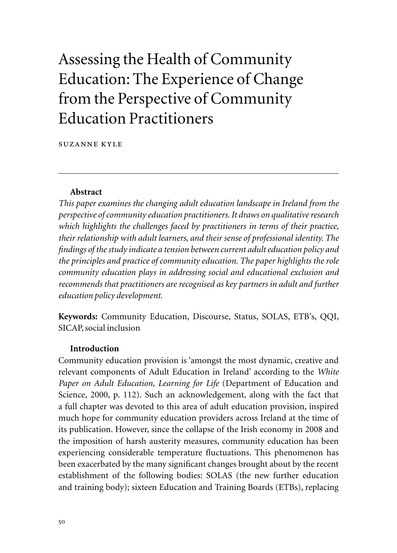# Assessing the Health of Community Education: The Experience of Change from the Perspective of Community Education Practitioners

suzanne kyle

#### **Abstract**

*This paper examines the changing adult education landscape in Ireland from the perspective of community education practitioners. It draws on qualitative research which highlights the challenges faced by practitioners in terms of their practice, their relationship with adult learners, and their sense of professional identity. The findings of the study indicate a tension between current adult education policy and the principles and practice of community education. The paper highlights the role community education plays in addressing social and educational exclusion and recommends that practitioners are recognised as key partners in adult and further education policy development.*

**Keywords:** Community Education, Discourse, Status, SOLAS, ETB's, QQI, SICAP, social inclusion

#### **Introduction**

Community education provision is 'amongst the most dynamic, creative and relevant components of Adult Education in Ireland' according to the *White Paper on Adult Education, Learning for Life* (Department of Education and Science, 2000, p. 112). Such an acknowledgement, along with the fact that a full chapter was devoted to this area of adult education provision, inspired much hope for community education providers across Ireland at the time of its publication. However, since the collapse of the Irish economy in 2008 and the imposition of harsh austerity measures, community education has been experiencing considerable temperature fluctuations. This phenomenon has been exacerbated by the many significant changes brought about by the recent establishment of the following bodies: SOLAS (the new further education and training body); sixteen Education and Training Boards (ETBs), replacing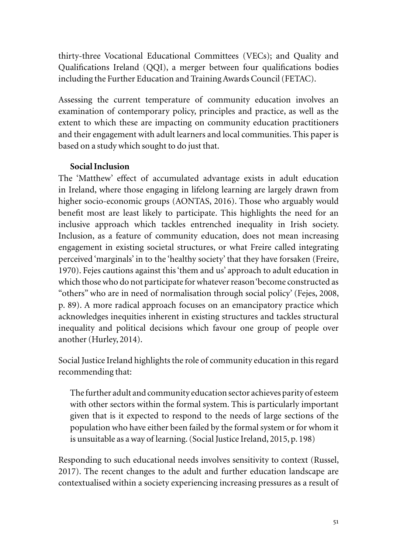thirty-three Vocational Educational Committees (VECs); and Quality and Qualifications Ireland (QQI), a merger between four qualifications bodies including the Further Education and Training Awards Council (FETAC).

Assessing the current temperature of community education involves an examination of contemporary policy, principles and practice, as well as the extent to which these are impacting on community education practitioners and their engagement with adult learners and local communities. This paper is based on a study which sought to do just that.

# **Social Inclusion**

The 'Matthew' effect of accumulated advantage exists in adult education in Ireland, where those engaging in lifelong learning are largely drawn from higher socio-economic groups (AONTAS, 2016). Those who arguably would benefit most are least likely to participate. This highlights the need for an inclusive approach which tackles entrenched inequality in Irish society. Inclusion, as a feature of community education, does not mean increasing engagement in existing societal structures, or what Freire called integrating perceived 'marginals' in to the 'healthy society' that they have forsaken (Freire, 1970). Fejes cautions against this 'them and us' approach to adult education in which those who do not participate for whatever reason 'become constructed as "others" who are in need of normalisation through social policy' (Fejes, 2008, p. 89). A more radical approach focuses on an emancipatory practice which acknowledges inequities inherent in existing structures and tackles structural inequality and political decisions which favour one group of people over another (Hurley, 2014).

Social Justice Ireland highlights the role of community education in this regard recommending that:

The further adult and community education sector achieves parity of esteem with other sectors within the formal system. This is particularly important given that is it expected to respond to the needs of large sections of the population who have either been failed by the formal system or for whom it is unsuitable as a way of learning. (Social Justice Ireland, 2015, p. 198)

Responding to such educational needs involves sensitivity to context (Russel, 2017). The recent changes to the adult and further education landscape are contextualised within a society experiencing increasing pressures as a result of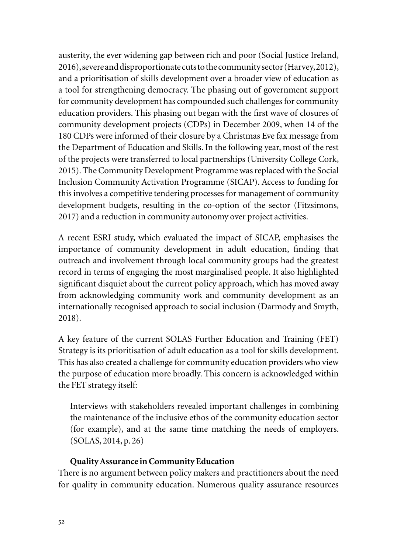austerity, the ever widening gap between rich and poor (Social Justice Ireland, 2016), severe and disproportionate cuts to the community sector (Harvey, 2012), and a prioritisation of skills development over a broader view of education as a tool for strengthening democracy. The phasing out of government support for community development has compounded such challenges for community education providers. This phasing out began with the first wave of closures of community development projects (CDPs) in December 2009, when 14 of the 180 CDPs were informed of their closure by a Christmas Eve fax message from the Department of Education and Skills. In the following year, most of the rest of the projects were transferred to local partnerships (University College Cork, 2015). The Community Development Programme was replaced with the Social Inclusion Community Activation Programme (SICAP). Access to funding for this involves a competitive tendering processes for management of community development budgets, resulting in the co-option of the sector (Fitzsimons, 2017) and a reduction in community autonomy over project activities.

A recent ESRI study, which evaluated the impact of SICAP, emphasises the importance of community development in adult education, finding that outreach and involvement through local community groups had the greatest record in terms of engaging the most marginalised people. It also highlighted significant disquiet about the current policy approach, which has moved away from acknowledging community work and community development as an internationally recognised approach to social inclusion (Darmody and Smyth, 2018).

A key feature of the current SOLAS Further Education and Training (FET) Strategy is its prioritisation of adult education as a tool for skills development. This has also created a challenge for community education providers who view the purpose of education more broadly. This concern is acknowledged within the FET strategy itself:

Interviews with stakeholders revealed important challenges in combining the maintenance of the inclusive ethos of the community education sector (for example), and at the same time matching the needs of employers. (SOLAS, 2014, p. 26)

#### **Quality Assurance in Community Education**

There is no argument between policy makers and practitioners about the need for quality in community education. Numerous quality assurance resources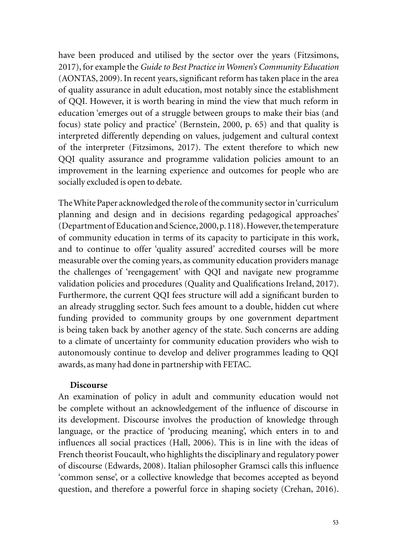have been produced and utilised by the sector over the years (Fitzsimons, 2017), for example the *Guide to Best Practice in Women's Community Education*  (AONTAS, 2009). In recent years, significant reform has taken place in the area of quality assurance in adult education, most notably since the establishment of QQI. However, it is worth bearing in mind the view that much reform in education 'emerges out of a struggle between groups to make their bias (and focus) state policy and practice' (Bernstein, 2000, p. 65) and that quality is interpreted differently depending on values, judgement and cultural context of the interpreter (Fitzsimons, 2017). The extent therefore to which new QQI quality assurance and programme validation policies amount to an improvement in the learning experience and outcomes for people who are socially excluded is open to debate.

The White Paper acknowledged the role of the community sector in 'curriculum planning and design and in decisions regarding pedagogical approaches' (Department of Education and Science, 2000, p. 118). However, the temperature of community education in terms of its capacity to participate in this work, and to continue to offer 'quality assured' accredited courses will be more measurable over the coming years, as community education providers manage the challenges of 'reengagement' with QQI and navigate new programme validation policies and procedures (Quality and Qualifications Ireland, 2017). Furthermore, the current QQI fees structure will add a significant burden to an already struggling sector. Such fees amount to a double, hidden cut where funding provided to community groups by one government department is being taken back by another agency of the state. Such concerns are adding to a climate of uncertainty for community education providers who wish to autonomously continue to develop and deliver programmes leading to QQI awards, as many had done in partnership with FETAC.

#### **Discourse**

An examination of policy in adult and community education would not be complete without an acknowledgement of the influence of discourse in its development. Discourse involves the production of knowledge through language, or the practice of 'producing meaning', which enters in to and influences all social practices (Hall, 2006). This is in line with the ideas of French theorist Foucault, who highlights the disciplinary and regulatory power of discourse (Edwards, 2008). Italian philosopher Gramsci calls this influence 'common sense', or a collective knowledge that becomes accepted as beyond question, and therefore a powerful force in shaping society (Crehan, 2016).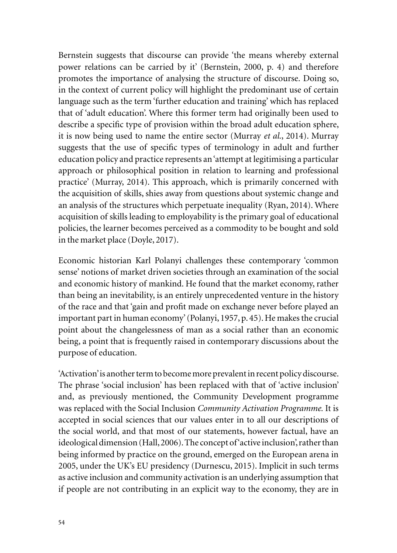Bernstein suggests that discourse can provide 'the means whereby external power relations can be carried by it' (Bernstein, 2000, p. 4) and therefore promotes the importance of analysing the structure of discourse. Doing so, in the context of current policy will highlight the predominant use of certain language such as the term 'further education and training' which has replaced that of 'adult education'. Where this former term had originally been used to describe a specific type of provision within the broad adult education sphere, it is now being used to name the entire sector (Murray *et al*., 2014). Murray suggests that the use of specific types of terminology in adult and further education policy and practice represents an 'attempt at legitimising a particular approach or philosophical position in relation to learning and professional practice' (Murray, 2014). This approach, which is primarily concerned with the acquisition of skills, shies away from questions about systemic change and an analysis of the structures which perpetuate inequality (Ryan, 2014). Where acquisition of skills leading to employability is the primary goal of educational policies, the learner becomes perceived as a commodity to be bought and sold in the market place (Doyle, 2017).

Economic historian Karl Polanyi challenges these contemporary 'common sense' notions of market driven societies through an examination of the social and economic history of mankind. He found that the market economy, rather than being an inevitability, is an entirely unprecedented venture in the history of the race and that 'gain and profit made on exchange never before played an important part in human economy' (Polanyi, 1957, p. 45). He makes the crucial point about the changelessness of man as a social rather than an economic being, a point that is frequently raised in contemporary discussions about the purpose of education.

'Activation' is another term to become more prevalent in recent policy discourse. The phrase 'social inclusion' has been replaced with that of 'active inclusion' and, as previously mentioned, the Community Development programme was replaced with the Social Inclusion *Community Activation Programme.* It is accepted in social sciences that our values enter in to all our descriptions of the social world, and that most of our statements, however factual, have an ideological dimension (Hall, 2006). The concept of 'active inclusion', rather than being informed by practice on the ground, emerged on the European arena in 2005, under the UK's EU presidency (Durnescu, 2015). Implicit in such terms as active inclusion and community activation is an underlying assumption that if people are not contributing in an explicit way to the economy, they are in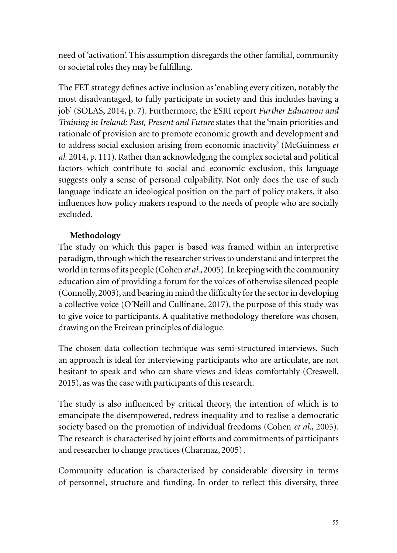need of 'activation'. This assumption disregards the other familial, community or societal roles they may be fulfilling.

The FET strategy defines active inclusion as 'enabling every citizen, notably the most disadvantaged, to fully participate in society and this includes having a job' (SOLAS, 2014, p. 7). Furthermore, the ESRI report *Further Education and Training in Ireland: Past, Present and Future* states that the 'main priorities and rationale of provision are to promote economic growth and development and to address social exclusion arising from economic inactivity' (McGuinness *et al.* 2014, p. 111). Rather than acknowledging the complex societal and political factors which contribute to social and economic exclusion, this language suggests only a sense of personal culpability. Not only does the use of such language indicate an ideological position on the part of policy makers, it also influences how policy makers respond to the needs of people who are socially excluded.

# **Methodology**

The study on which this paper is based was framed within an interpretive paradigm, through which the researcher strives to understand and interpret the world in terms of its people (Cohen *et al*., 2005). In keeping with the community education aim of providing a forum for the voices of otherwise silenced people (Connolly, 2003), and bearing in mind the difficulty for the sector in developing a collective voice (O'Neill and Cullinane, 2017), the purpose of this study was to give voice to participants. A qualitative methodology therefore was chosen, drawing on the Freirean principles of dialogue.

The chosen data collection technique was semi-structured interviews. Such an approach is ideal for interviewing participants who are articulate, are not hesitant to speak and who can share views and ideas comfortably (Creswell, 2015), as was the case with participants of this research.

The study is also influenced by critical theory, the intention of which is to emancipate the disempowered, redress inequality and to realise a democratic society based on the promotion of individual freedoms (Cohen *et al.*, 2005). The research is characterised by joint efforts and commitments of participants and researcher to change practices (Charmaz, 2005) .

Community education is characterised by considerable diversity in terms of personnel, structure and funding. In order to reflect this diversity, three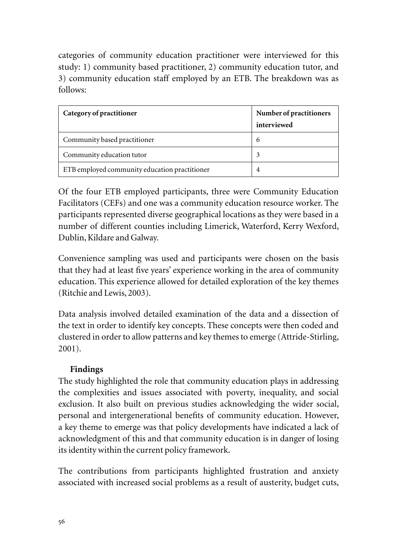categories of community education practitioner were interviewed for this study: 1) community based practitioner, 2) community education tutor, and 3) community education staff employed by an ETB. The breakdown was as follows:

| Category of practitioner                      | Number of practitioners<br>interviewed |
|-----------------------------------------------|----------------------------------------|
| Community based practitioner                  | 6                                      |
| Community education tutor                     | 3                                      |
| ETB employed community education practitioner | 4                                      |

Of the four ETB employed participants, three were Community Education Facilitators (CEFs) and one was a community education resource worker. The participants represented diverse geographical locations as they were based in a number of different counties including Limerick, Waterford, Kerry Wexford, Dublin, Kildare and Galway.

Convenience sampling was used and participants were chosen on the basis that they had at least five years' experience working in the area of community education. This experience allowed for detailed exploration of the key themes (Ritchie and Lewis, 2003).

Data analysis involved detailed examination of the data and a dissection of the text in order to identify key concepts. These concepts were then coded and clustered in order to allow patterns and key themes to emerge (Attride-Stirling, 2001).

# **Findings**

The study highlighted the role that community education plays in addressing the complexities and issues associated with poverty, inequality, and social exclusion. It also built on previous studies acknowledging the wider social, personal and intergenerational benefits of community education. However, a key theme to emerge was that policy developments have indicated a lack of acknowledgment of this and that community education is in danger of losing its identity within the current policy framework.

The contributions from participants highlighted frustration and anxiety associated with increased social problems as a result of austerity, budget cuts,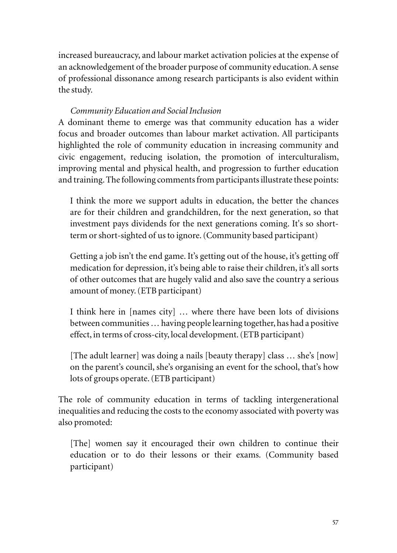increased bureaucracy, and labour market activation policies at the expense of an acknowledgement of the broader purpose of community education. A sense of professional dissonance among research participants is also evident within the study.

# *Community Education and Social Inclusion*

A dominant theme to emerge was that community education has a wider focus and broader outcomes than labour market activation. All participants highlighted the role of community education in increasing community and civic engagement, reducing isolation, the promotion of interculturalism, improving mental and physical health, and progression to further education and training. The following comments from participants illustrate these points:

I think the more we support adults in education, the better the chances are for their children and grandchildren, for the next generation, so that investment pays dividends for the next generations coming. It's so shortterm or short-sighted of us to ignore. (Community based participant)

Getting a job isn't the end game. It's getting out of the house, it's getting off medication for depression, it's being able to raise their children, it's all sorts of other outcomes that are hugely valid and also save the country a serious amount of money. (ETB participant)

I think here in [names city] … where there have been lots of divisions between communities … having people learning together, has had a positive effect, in terms of cross-city, local development. (ETB participant)

[The adult learner] was doing a nails [beauty therapy] class … she's [now] on the parent's council, she's organising an event for the school, that's how lots of groups operate. (ETB participant)

The role of community education in terms of tackling intergenerational inequalities and reducing the costs to the economy associated with poverty was also promoted:

[The] women say it encouraged their own children to continue their education or to do their lessons or their exams. (Community based participant)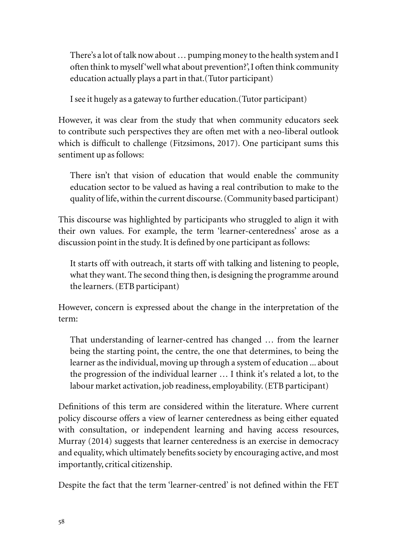There's a lot of talk now about … pumping money to the health system and I often think to myself 'well what about prevention?', I often think community education actually plays a part in that.(Tutor participant)

I see it hugely as a gateway to further education.(Tutor participant)

However, it was clear from the study that when community educators seek to contribute such perspectives they are often met with a neo-liberal outlook which is difficult to challenge (Fitzsimons, 2017). One participant sums this sentiment up as follows:

There isn't that vision of education that would enable the community education sector to be valued as having a real contribution to make to the quality of life, within the current discourse. (Community based participant)

This discourse was highlighted by participants who struggled to align it with their own values. For example, the term 'learner-centeredness' arose as a discussion point in the study. It is defined by one participant as follows:

It starts off with outreach, it starts off with talking and listening to people, what they want. The second thing then, is designing the programme around the learners. (ETB participant)

However, concern is expressed about the change in the interpretation of the term:

That understanding of learner-centred has changed … from the learner being the starting point, the centre, the one that determines, to being the learner as the individual, moving up through a system of education ... about the progression of the individual learner … I think it's related a lot, to the labour market activation, job readiness, employability. (ETB participant)

Definitions of this term are considered within the literature. Where current policy discourse offers a view of learner centeredness as being either equated with consultation, or independent learning and having access resources, Murray (2014) suggests that learner centeredness is an exercise in democracy and equality, which ultimately benefits society by encouraging active, and most importantly, critical citizenship.

Despite the fact that the term 'learner-centred' is not defined within the FET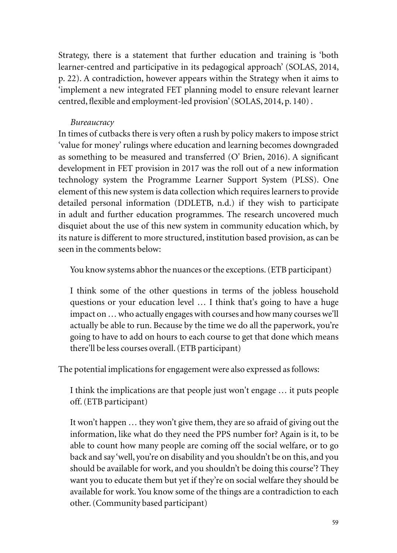Strategy, there is a statement that further education and training is 'both learner-centred and participative in its pedagogical approach' (SOLAS, 2014, p. 22). A contradiction, however appears within the Strategy when it aims to 'implement a new integrated FET planning model to ensure relevant learner centred, flexible and employment-led provision' (SOLAS, 2014, p. 140) .

#### *Bureaucracy*

In times of cutbacks there is very often a rush by policy makers to impose strict 'value for money' rulings where education and learning becomes downgraded as something to be measured and transferred (O' Brien, 2016). A significant development in FET provision in 2017 was the roll out of a new information technology system the Programme Learner Support System (PLSS). One element of this new system is data collection which requires learners to provide detailed personal information (DDLETB, n.d.) if they wish to participate in adult and further education programmes. The research uncovered much disquiet about the use of this new system in community education which, by its nature is different to more structured, institution based provision, as can be seen in the comments below:

You know systems abhor the nuances or the exceptions. (ETB participant)

I think some of the other questions in terms of the jobless household questions or your education level … I think that's going to have a huge impact on … who actually engages with courses and how many courses we'll actually be able to run. Because by the time we do all the paperwork, you're going to have to add on hours to each course to get that done which means there'll be less courses overall. (ETB participant)

The potential implications for engagement were also expressed as follows:

I think the implications are that people just won't engage … it puts people off. (ETB participant)

It won't happen … they won't give them, they are so afraid of giving out the information, like what do they need the PPS number for? Again is it, to be able to count how many people are coming off the social welfare, or to go back and say 'well, you're on disability and you shouldn't be on this, and you should be available for work, and you shouldn't be doing this course'? They want you to educate them but yet if they're on social welfare they should be available for work. You know some of the things are a contradiction to each other. (Community based participant)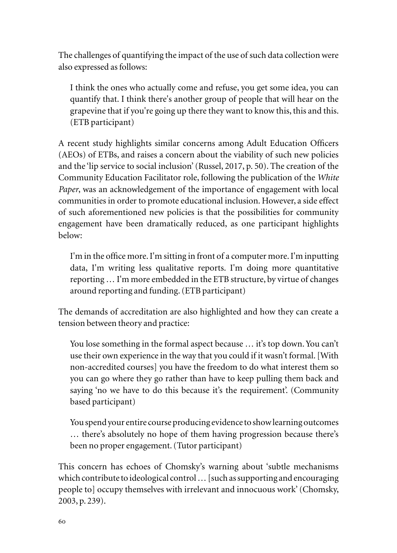The challenges of quantifying the impact of the use of such data collection were also expressed as follows:

I think the ones who actually come and refuse, you get some idea, you can quantify that. I think there's another group of people that will hear on the grapevine that if you're going up there they want to know this, this and this. (ETB participant)

A recent study highlights similar concerns among Adult Education Officers (AEOs) of ETBs, and raises a concern about the viability of such new policies and the 'lip service to social inclusion' (Russel, 2017, p. 50). The creation of the Community Education Facilitator role, following the publication of the *White Paper*, was an acknowledgement of the importance of engagement with local communities in order to promote educational inclusion. However, a side effect of such aforementioned new policies is that the possibilities for community engagement have been dramatically reduced, as one participant highlights below:

I'm in the office more. I'm sitting in front of a computer more. I'm inputting data, I'm writing less qualitative reports. I'm doing more quantitative reporting … I'm more embedded in the ETB structure, by virtue of changes around reporting and funding. (ETB participant)

The demands of accreditation are also highlighted and how they can create a tension between theory and practice:

You lose something in the formal aspect because … it's top down. You can't use their own experience in the way that you could if it wasn't formal. [With non-accredited courses] you have the freedom to do what interest them so you can go where they go rather than have to keep pulling them back and saying 'no we have to do this because it's the requirement'. (Community based participant)

You spend your entire course producing evidence to show learning outcomes … there's absolutely no hope of them having progression because there's been no proper engagement. (Tutor participant)

This concern has echoes of Chomsky's warning about 'subtle mechanisms which contribute to ideological control … [such as supporting and encouraging people to] occupy themselves with irrelevant and innocuous work' (Chomsky, 2003, p. 239).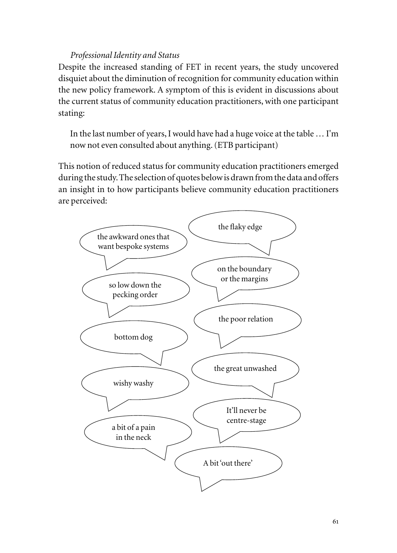### *Professional Identity and Status*

Despite the increased standing of FET in recent years, the study uncovered disquiet about the diminution of recognition for community education within the new policy framework. A symptom of this is evident in discussions about the current status of community education practitioners, with one participant stating:

In the last number of years, I would have had a huge voice at the table … I'm now not even consulted about anything. (ETB participant)

This notion of reduced status for community education practitioners emerged during the study. The selection of quotes below is drawn from the data and offers an insight in to how participants believe community education practitioners are perceived:

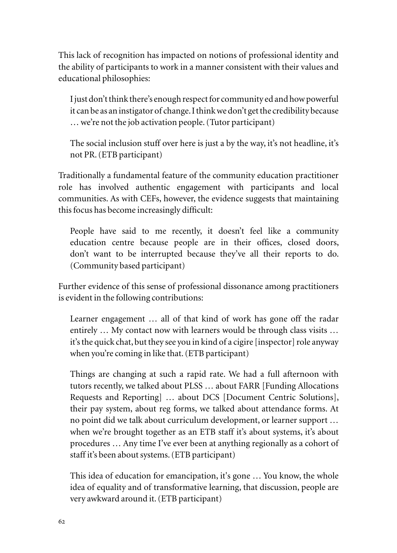This lack of recognition has impacted on notions of professional identity and the ability of participants to work in a manner consistent with their values and educational philosophies:

I just don't think there's enough respect for community ed and how powerful it can be as an instigator of change. I think we don't get the credibility because … we're not the job activation people. (Tutor participant)

The social inclusion stuff over here is just a by the way, it's not headline, it's not PR. (ETB participant)

Traditionally a fundamental feature of the community education practitioner role has involved authentic engagement with participants and local communities. As with CEFs, however, the evidence suggests that maintaining this focus has become increasingly difficult:

People have said to me recently, it doesn't feel like a community education centre because people are in their offices, closed doors, don't want to be interrupted because they've all their reports to do. (Community based participant)

Further evidence of this sense of professional dissonance among practitioners is evident in the following contributions:

Learner engagement … all of that kind of work has gone off the radar entirely … My contact now with learners would be through class visits … it's the quick chat, but they see you in kind of a cigire [inspector] role anyway when you're coming in like that. (ETB participant)

Things are changing at such a rapid rate. We had a full afternoon with tutors recently, we talked about PLSS … about FARR [Funding Allocations Requests and Reporting] … about DCS [Document Centric Solutions], their pay system, about reg forms, we talked about attendance forms. At no point did we talk about curriculum development, or learner support … when we're brought together as an ETB staff it's about systems, it's about procedures … Any time I've ever been at anything regionally as a cohort of staff it's been about systems. (ETB participant)

This idea of education for emancipation, it's gone … You know, the whole idea of equality and of transformative learning, that discussion, people are very awkward around it. (ETB participant)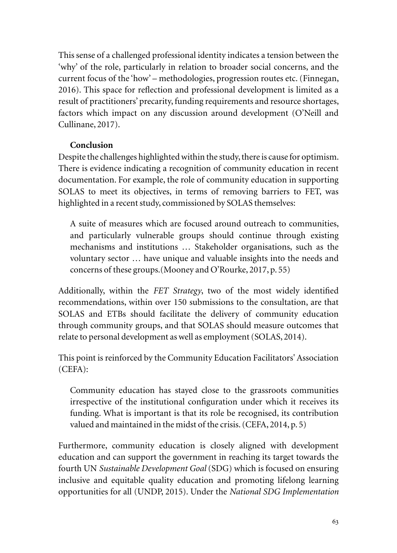This sense of a challenged professional identity indicates a tension between the 'why' of the role, particularly in relation to broader social concerns, and the current focus of the 'how' – methodologies, progression routes etc. (Finnegan, 2016). This space for reflection and professional development is limited as a result of practitioners' precarity, funding requirements and resource shortages, factors which impact on any discussion around development (O'Neill and Cullinane, 2017).

# **Conclusion**

Despite the challenges highlighted within the study, there is cause for optimism. There is evidence indicating a recognition of community education in recent documentation. For example, the role of community education in supporting SOLAS to meet its objectives, in terms of removing barriers to FET, was highlighted in a recent study, commissioned by SOLAS themselves:

A suite of measures which are focused around outreach to communities, and particularly vulnerable groups should continue through existing mechanisms and institutions … Stakeholder organisations, such as the voluntary sector … have unique and valuable insights into the needs and concerns of these groups.(Mooney and O'Rourke, 2017, p. 55)

Additionally, within the *FET Strategy*, two of the most widely identified recommendations, within over 150 submissions to the consultation, are that SOLAS and ETBs should facilitate the delivery of community education through community groups, and that SOLAS should measure outcomes that relate to personal development as well as employment (SOLAS, 2014).

This point is reinforced by the Community Education Facilitators' Association (CEFA):

Community education has stayed close to the grassroots communities irrespective of the institutional configuration under which it receives its funding. What is important is that its role be recognised, its contribution valued and maintained in the midst of the crisis. (CEFA, 2014, p. 5)

Furthermore, community education is closely aligned with development education and can support the government in reaching its target towards the fourth UN *Sustainable Development Goal* (SDG) which is focused on ensuring inclusive and equitable quality education and promoting lifelong learning opportunities for all (UNDP, 2015). Under the *National SDG Implementation*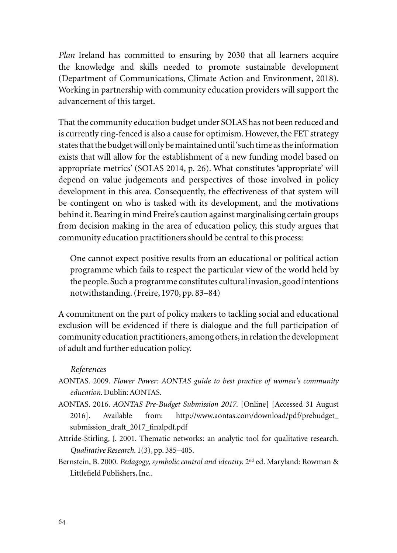*Plan* Ireland has committed to ensuring by 2030 that all learners acquire the knowledge and skills needed to promote sustainable development (Department of Communications, Climate Action and Environment, 2018). Working in partnership with community education providers will support the advancement of this target.

That the community education budget under SOLAS has not been reduced and is currently ring-fenced is also a cause for optimism. However, the FET strategy states that the budget will only be maintained until 'such time as the information exists that will allow for the establishment of a new funding model based on appropriate metrics' (SOLAS 2014, p. 26). What constitutes 'appropriate' will depend on value judgements and perspectives of those involved in policy development in this area. Consequently, the effectiveness of that system will be contingent on who is tasked with its development, and the motivations behind it. Bearing in mind Freire's caution against marginalising certain groups from decision making in the area of education policy, this study argues that community education practitioners should be central to this process:

One cannot expect positive results from an educational or political action programme which fails to respect the particular view of the world held by the people. Such a programme constitutes cultural invasion, good intentions notwithstanding. (Freire, 1970, pp. 83–84)

A commitment on the part of policy makers to tackling social and educational exclusion will be evidenced if there is dialogue and the full participation of community education practitioners, among others, in relation the development of adult and further education policy.

#### *References*

- AONTAS. 2009. *Flower Power: AONTAS guide to best practice of women's community education.* Dublin: AONTAS.
- AONTAS. 2016. *AONTAS Pre-Budget Submission 2017.* [Online] [Accessed 31 August 2016]. Available from: http://www.aontas.com/download/pdf/prebudget\_ submission\_draft\_2017\_finalpdf.pdf
- Attride-Stirling, J. 2001. Thematic networks: an analytic tool for qualitative research. *Qualitative Research.* 1(3), pp. 385–405.
- Bernstein, B. 2000. *Pedagogy, symbolic control and identity*. 2<sup>nd</sup> ed. Maryland: Rowman & Littlefield Publishers, Inc..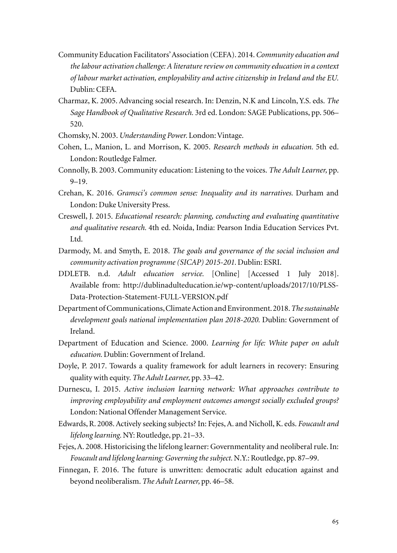- Community Education Facilitators' Association (CEFA). 2014. *Community education and the labour activation challenge: A literature review on community education in a context of labour market activation, employability and active citizenship in Ireland and the EU.*  Dublin: CEFA.
- Charmaz, K. 2005. Advancing social research. In: Denzin, N.K and Lincoln, Y.S. eds. *The Sage Handbook of Qualitative Research.* 3rd ed. London: SAGE Publications, pp. 506– 520.
- Chomsky, N. 2003. *Understanding Power.* London: Vintage.
- Cohen, L., Manion, L. and Morrison, K. 2005. *Research methods in education.* 5th ed. London: Routledge Falmer.
- Connolly, B. 2003. Community education: Listening to the voices. *The Adult Learner,* pp. 9–19.
- Crehan, K. 2016. *Gramsci's common sense: Inequality and its narratives.* Durham and London: Duke University Press.
- Creswell, J. 2015. *Educational research: planning, conducting and evaluating quantitative and qualitative research.* 4th ed. Noida, India: Pearson India Education Services Pvt. Ltd.
- Darmody, M. and Smyth, E. 2018. *The goals and governance of the social inclusion and community activation programme (SICAP) 2015-201.* Dublin: ESRI.
- DDLETB. n.d. *Adult education service.* [Online] [Accessed 1 July 2018]. Available from: http://dublinadulteducation.ie/wp-content/uploads/2017/10/PLSS-Data-Protection-Statement-FULL-VERSION.pdf
- Department of Communications, Climate Action and Environment. 2018. *The sustainable development goals national implementation plan 2018-2020.* Dublin: Government of Ireland.
- Department of Education and Science. 2000. *Learning for life: White paper on adult education.* Dublin: Government of Ireland.
- Doyle, P. 2017. Towards a quality framework for adult learners in recovery: Ensuring quality with equity. *The Adult Learner,* pp. 33–42.
- Durnescu, I. 2015. *Active inclusion learning network: What approaches contribute to improving employability and employment outcomes amongst socially excluded groups?* London: National Offender Management Service.
- Edwards, R. 2008. Actively seeking subjects? In: Fejes, A. and Nicholl, K. eds. *Foucault and lifelong learning.* NY: Routledge, pp. 21–33.
- Fejes, A. 2008. Historicising the lifelong learner: Governmentality and neoliberal rule. In: *Foucault and lifelong learning: Governing the subject.* N.Y.: Routledge, pp. 87–99.
- Finnegan, F. 2016. The future is unwritten: democratic adult education against and beyond neoliberalism. *The Adult Learner,* pp. 46–58.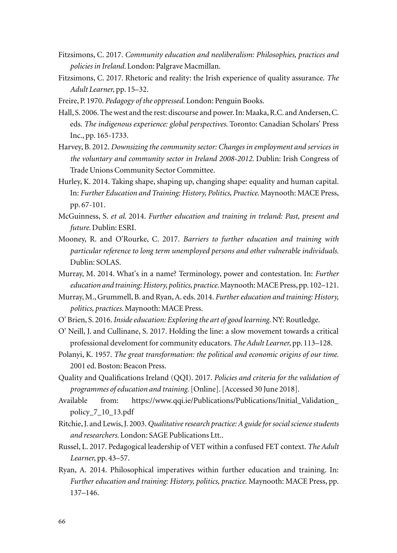- Fitzsimons, C. 2017. *Community education and neoliberalism: Philosophies, practices and policies in Ireland.* London: Palgrave Macmillan.
- Fitzsimons, C. 2017. Rhetoric and reality: the Irish experience of quality assurance. *The Adult Learner,* pp. 15–32.
- Freire, P. 1970. *Pedagogy of the oppressed.* London: Penguin Books.
- Hall, S. 2006. The west and the rest: discourse and power. In: Maaka, R.C. and Andersen, C. eds. *The indigenous experience: global perspectives.* Toronto: Canadian Scholars' Press Inc., pp. 165-1733.
- Harvey, B. 2012. *Downsizing the community sector: Changes in employment and services in the voluntary and community sector in Ireland 2008-2012*. Dublin: Irish Congress of Trade Unions Community Sector Committee.
- Hurley, K. 2014. Taking shape, shaping up, changing shape: equality and human capital. In: *Further Education and Training: History, Politics, Practice.* Maynooth: MACE Press, pp. 67-101.
- McGuinness, S. *et al*. 2014. *Further education and training in treland: Past, present and future.* Dublin: ESRI.
- Mooney, R. and O'Rourke, C. 2017. *Barriers to further education and training with particular reference to long term unemployed persons and other vulnerable individuals.*  Dublin: SOLAS.
- Murray, M. 2014. What's in a name? Terminology, power and contestation. In: *Further education and training: History, politics, practice.* Maynooth: MACE Press, pp. 102–121.
- Murray, M., Grummell, B. and Ryan, A. eds. 2014. *Further education and training: History, politics, practices.* Maynooth: MACE Press.
- O' Brien, S. 2016. *Inside education: Exploring the art of good learning.* NY: Routledge.
- O' Neill, J. and Cullinane, S. 2017. Holding the line: a slow movement towards a critical professional develoment for community educators. *The Adult Learner,* pp. 113–128.
- Polanyi, K. 1957. *The great transformation: the political and economic origins of our time.*  2001 ed. Boston: Beacon Press.
- Quality and Qualifications Ireland (QQI). 2017. *Policies and criteria for the validation of programmes of education and training.* [Online]. [Accessed 30 June 2018].
- Available from: https://www.qqi.ie/Publications/Publications/Initial\_Validation\_ policy\_7\_10\_13.pdf
- Ritchie, J. and Lewis, J. 2003. *Qualitative research practice: A guide for social science students and researchers.* London: SAGE Publications Ltt..
- Russel, L. 2017. Pedagogical leadership of VET within a confused FET context. *The Adult Learner,* pp. 43–57.
- Ryan, A. 2014. Philosophical imperatives within further education and training. In: *Further education and training: History, politics, practice.* Maynooth: MACE Press, pp. 137–146.